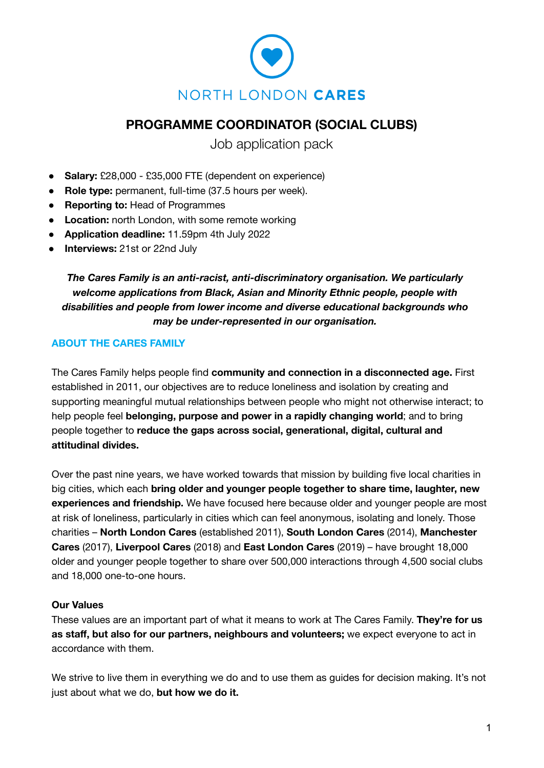

# **PROGRAMME COORDINATOR (SOCIAL CLUBS)**

Job application pack

- **Salary:** £28,000 £35,000 FTE (dependent on experience)
- **Role type:** permanent, full-time (37.5 hours per week).
- **Reporting to:** Head of Programmes
- **Location:** north London, with some remote working
- **Application deadline:** 11.59pm 4th July 2022
- **● Interviews:** 21st or 22nd July

*The Cares Family is an anti-racist, anti-discriminatory organisation. We particularly welcome applications from Black, Asian and Minority Ethnic people, people with disabilities and people from lower income and diverse educational backgrounds who may be under-represented in our organisation.*

## **ABOUT THE CARES FAMILY**

The Cares Family helps people find **community and connection in a disconnected age.** First established in 2011, our objectives are to reduce loneliness and isolation by creating and supporting meaningful mutual relationships between people who might not otherwise interact; to help people feel **belonging, purpose and power in a rapidly changing world**; and to bring people together to **reduce the gaps across social, generational, digital, cultural and attitudinal divides.**

Over the past nine years, we have worked towards that mission by building five local charities in big cities, which each **bring older and younger people together to share time, laughter, new experiences and friendship.** We have focused here because older and younger people are most at risk of loneliness, particularly in cities which can feel anonymous, isolating and lonely. Those charities – **North London Cares** (established 2011), **South London Cares** (2014), **Manchester Cares** (2017), **Liverpool Cares** (2018) and **East London Cares** (2019) – have brought 18,000 older and younger people together to share over 500,000 interactions through 4,500 social clubs and 18,000 one-to-one hours.

#### **Our Values**

These values are an important part of what it means to work at The Cares Family. **They're for us as staff, but also for our partners, neighbours and volunteers;** we expect everyone to act in accordance with them.

We strive to live them in everything we do and to use them as guides for decision making. It's not just about what we do, **but how we do it.**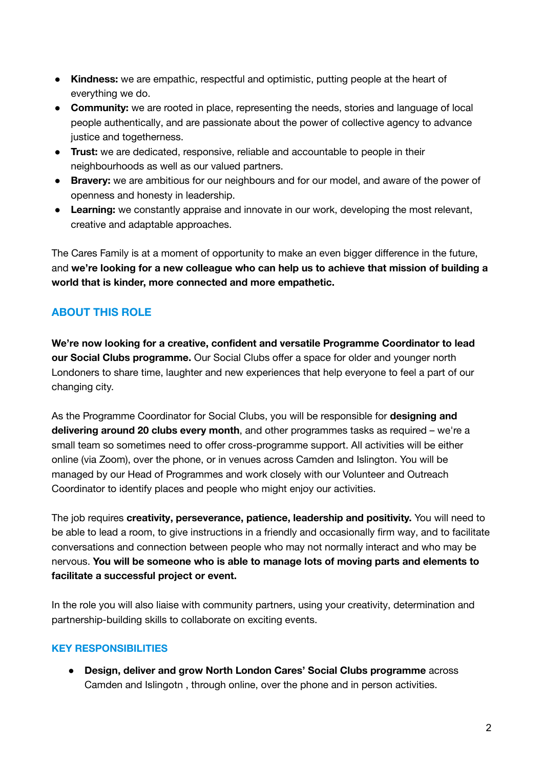- **Kindness:** we are empathic, respectful and optimistic, putting people at the heart of everything we do.
- **Community:** we are rooted in place, representing the needs, stories and language of local people authentically, and are passionate about the power of collective agency to advance justice and togetherness.
- **Trust:** we are dedicated, responsive, reliable and accountable to people in their neighbourhoods as well as our valued partners.
- **Bravery:** we are ambitious for our neighbours and for our model, and aware of the power of openness and honesty in leadership.
- **Learning:** we constantly appraise and innovate in our work, developing the most relevant, creative and adaptable approaches.

The Cares Family is at a moment of opportunity to make an even bigger difference in the future, and **we're looking for a new colleague who can help us to achieve that mission of building a world that is kinder, more connected and more empathetic.**

# **ABOUT THIS ROLE**

**We're now looking for a creative, confident and versatile Programme Coordinator to lead our Social Clubs programme.** Our Social Clubs offer a space for older and younger north Londoners to share time, laughter and new experiences that help everyone to feel a part of our changing city.

As the Programme Coordinator for Social Clubs, you will be responsible for **designing and delivering around 20 clubs every month**, and other programmes tasks as required – we're a small team so sometimes need to offer cross-programme support. All activities will be either online (via Zoom), over the phone, or in venues across Camden and Islington. You will be managed by our Head of Programmes and work closely with our Volunteer and Outreach Coordinator to identify places and people who might enjoy our activities.

The job requires **creativity, perseverance, patience, leadership and positivity.** You will need to be able to lead a room, to give instructions in a friendly and occasionally firm way, and to facilitate conversations and connection between people who may not normally interact and who may be nervous. **You will be someone who is able to manage lots of moving parts and elements to facilitate a successful project or event.**

In the role you will also liaise with community partners, using your creativity, determination and partnership-building skills to collaborate on exciting events.

# **KEY RESPONSIBILITIES**

**● Design, deliver and grow North London Cares' Social Clubs programme** across Camden and Islingotn , through online, over the phone and in person activities.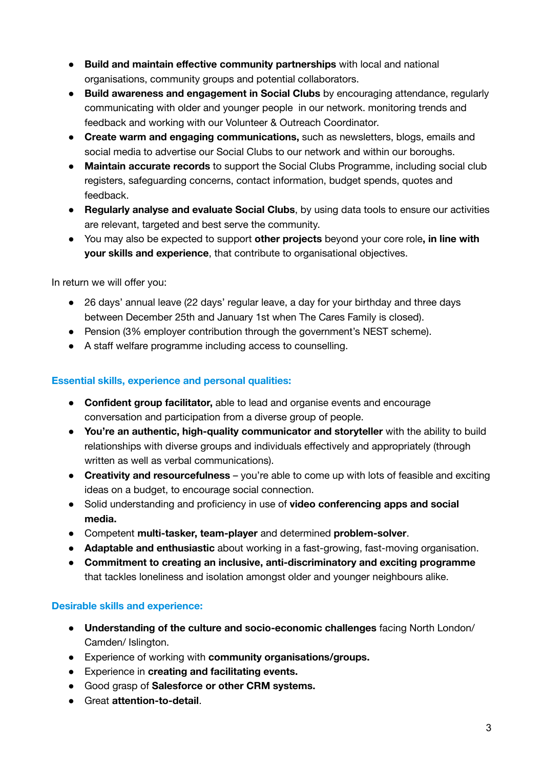- **● Build and maintain effective community partnerships** with local and national organisations, community groups and potential collaborators.
- **Build awareness and engagement in Social Clubs** by encouraging attendance, regularly communicating with older and younger people in our network. monitoring trends and feedback and working with our Volunteer & Outreach Coordinator.
- **● Create warm and engaging communications,** such as newsletters, blogs, emails and social media to advertise our Social Clubs to our network and within our boroughs.
- **Maintain accurate records** to support the Social Clubs Programme, including social club registers, safeguarding concerns, contact information, budget spends, quotes and feedback.
- **Regularly analyse and evaluate Social Clubs**, by using data tools to ensure our activities are relevant, targeted and best serve the community.
- You may also be expected to support **other projects** beyond your core role**, in line with your skills and experience**, that contribute to organisational objectives.

In return we will offer you:

- 26 days' annual leave (22 days' regular leave, a day for your birthday and three days between December 25th and January 1st when The Cares Family is closed).
- Pension (3% employer contribution through the government's NEST scheme).
- A staff welfare programme including access to counselling.

#### **Essential skills, experience and personal qualities:**

- **Confident group facilitator,** able to lead and organise events and encourage conversation and participation from a diverse group of people.
- **You're an authentic, high-quality communicator and storyteller** with the ability to build relationships with diverse groups and individuals effectively and appropriately (through written as well as verbal communications).
- **Creativity and resourcefulness** you're able to come up with lots of feasible and exciting ideas on a budget, to encourage social connection.
- Solid understanding and proficiency in use of **video conferencing apps and social media.**
- Competent **multi-tasker, team-player** and determined **problem-solver**.
- **Adaptable and enthusiastic** about working in a fast-growing, fast-moving organisation.
- **Commitment to creating an inclusive, anti-discriminatory and exciting programme** that tackles loneliness and isolation amongst older and younger neighbours alike.

#### **Desirable skills and experience:**

- **Understanding of the culture and socio-economic challenges** facing North London/ Camden/ Islington.
- Experience of working with **community organisations/groups.**
- Experience in **creating and facilitating events.**
- Good grasp of **Salesforce or other CRM systems.**
- Great **attention-to-detail**.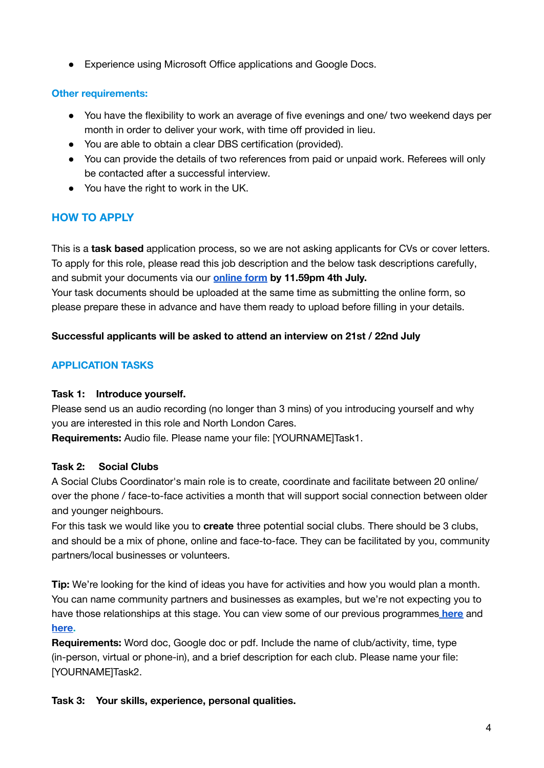● Experience using Microsoft Office applications and Google Docs.

## **Other requirements:**

- You have the flexibility to work an average of five evenings and one/ two weekend days per month in order to deliver your work, with time off provided in lieu.
- You are able to obtain a clear DBS certification (provided).
- You can provide the details of two references from paid or unpaid work. Referees will only be contacted after a successful interview.
- You have the right to work in the UK.

# **HOW TO APPLY**

This is a **task based** application process, so we are not asking applicants for CVs or cover letters. To apply for this role, please read this job description and the below task descriptions carefully, and submit your documents via our **[online](https://hr.breathehr.com/recruitment/vacancies/23772?identifier=thecaresfamily) form by 11.59pm 4th July.** Your task documents should be uploaded at the same time as submitting the online form, so

please prepare these in advance and have them ready to upload before filling in your details.

## **Successful applicants will be asked to attend an interview on 21st / 22nd July**

# **APPLICATION TASKS**

#### **Task 1: Introduce yourself.**

Please send us an audio recording (no longer than 3 mins) of you introducing yourself and why you are interested in this role and North London Cares.

**Requirements:** Audio file. Please name your file: [YOURNAME]Task1.

#### **Task 2: Social Clubs**

A Social Clubs Coordinator's main role is to create, coordinate and facilitate between 20 online/ over the phone / face-to-face activities a month that will support social connection between older and younger neighbours.

For this task we would like you to **create** three potential social clubs. There should be 3 clubs, and should be a mix of phone, online and face-to-face. They can be facilitated by you, community partners/local businesses or volunteers.

**Tip:** We're looking for the kind of ideas you have for activities and how you would plan a month. You can name community partners and businesses as examples, but we're not expecting you to have those relationships at this stage. You can view some of our previous programmes **[here](https://northlondoncares.org.uk/assets/uploads/docs/December-Programme-2021.pdf)** and **[here](https://northlondoncares.org.uk/assets/uploads/docs/MAY-2022-FINAL-2.pdf).**

**Requirements:** Word doc, Google doc or pdf. Include the name of club/activity, time, type (in-person, virtual or phone-in), and a brief description for each club. Please name your file: [YOURNAME]Task2.

**Task 3: Your skills, experience, personal qualities.**